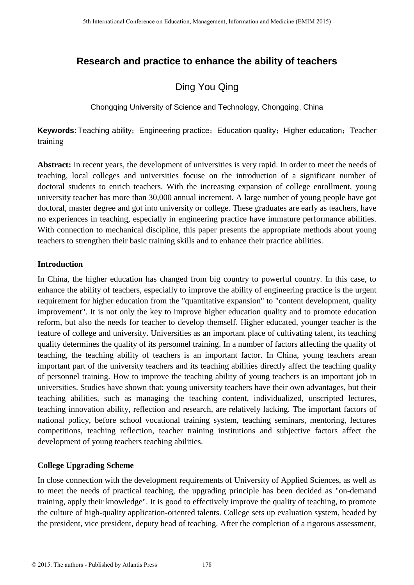## **Research and practice to enhance the ability of teachers**

# Ding You Qing

Chongqing University of Science and Technology, Chongqing, China

**Keywords:** Teaching ability; Engineering practice; Education quality; Higher education; Teacher training

**Abstract:** In recent years, the development of universities is very rapid. In order to meet the needs of teaching, local colleges and universities focuse on the introduction of a significant number of doctoral students to enrich teachers. With the increasing expansion of college enrollment, young university teacher has more than 30,000 annual increment. A large number of young people have got doctoral, master degree and got into university or college. These graduates are early as teachers, have no experiences in teaching, especially in engineering practice have immature performance abilities. With connection to mechanical discipline, this paper presents the appropriate methods about young teachers to strengthen their basic training skills and to enhance their practice abilities.

### **Introduction**

In China, the higher education has changed from big country to powerful country. In this case, to enhance the ability of teachers, especially to improve the ability of engineering practice is the urgent requirement for higher education from the "quantitative expansion" to "content development, quality improvement". It is not only the key to improve higher education quality and to promote education reform, but also the needs for teacher to develop themself. Higher educated, younger teacher is the feature of college and university. Universities as an important place of cultivating talent, its teaching quality determines the quality of its personnel training. In a number of factors affecting the quality of teaching, the teaching ability of teachers is an important factor. In China, young teachers arean important part of the university teachers and its teaching abilities directly affect the teaching quality of personnel training. How to improve the teaching ability of young teachers is an important job in universities. Studies have shown that: young university teachers have their own advantages, but their teaching abilities, such as managing the teaching content, individualized, unscripted lectures, teaching innovation ability, reflection and research, are relatively lacking. The important factors of national policy, before school vocational training system, teaching seminars, mentoring, lectures competitions, teaching reflection, teacher training institutions and subjective factors affect the development of young teachers teaching abilities.

## **College Upgrading Scheme**

In close connection with the development requirements of University of Applied Sciences, as well as to meet the needs of practical teaching, the upgrading principle has been decided as "on-demand training, apply their knowledge". It is good to effectively improve the quality of teaching, to promote the culture of high-quality application-oriented talents. College sets up evaluation system, headed by the president, vice president, deputy head of teaching. After the completion of a rigorous assessment,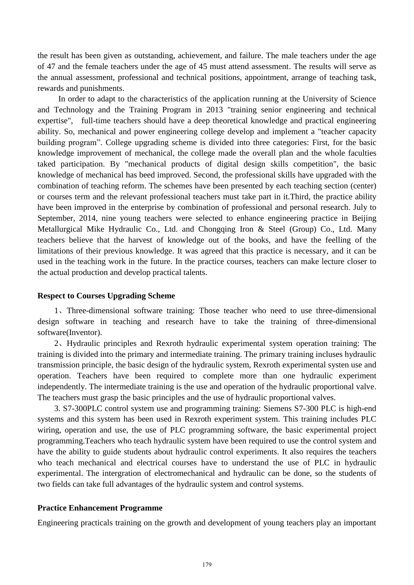the result has been given as outstanding, achievement, and failure. The male teachers under the age of 47 and the female teachers under the age of 45 must attend assessment. The results will serve as the annual assessment, professional and technical positions, appointment, arrange of teaching task, rewards and punishments.

In order to adapt to the characteristics of the application running at the University of Science and Technology and the Training Program in 2013 "training senior engineering and technical expertise", full-time teachers should have a deep theoretical knowledge and practical engineering ability. So, mechanical and power engineering college develop and implement a "teacher capacity building program". College upgrading scheme is divided into three categories: First, for the basic knowledge improvement of mechanical, the college made the overall plan and the whole faculties taked participation. By "mechanical products of digital design skills competition", the basic knowledge of mechanical has beed improved. Second, the professional skills have upgraded with the combination of teaching reform. The schemes have been presented by each teaching section (center) or courses term and the relevant professional teachers must take part in it.Third, the practice ability have been improved in the enterprise by combination of professional and personal research. July to September, 2014, nine young teachers were selected to enhance engineering practice in Beijing Metallurgical Mike Hydraulic Co., Ltd. and Chongqing Iron & Steel (Group) Co., Ltd. Many teachers believe that the harvest of knowledge out of the books, and have the feelling of the limitations of their previous knowledge. It was agreed that this practice is necessary, and it can be used in the teaching work in the future. In the practice courses, teachers can make lecture closer to the actual production and develop practical talents.

#### **Respect to Courses Upgrading Scheme**

1、Three-dimensional software training: Those teacher who need to use three-dimensional design software in teaching and research have to take the training of three-dimensional software(Inventor).

2、Hydraulic principles and Rexroth hydraulic experimental system operation training: The training is divided into the primary and intermediate training. The primary training incluses hydraulic transmission principle, the basic design of the hydraulic system, Rexroth experimental systen use and operation. Teachers have been required to complete more than one hydraulic experiment independently. The intermediate training is the use and operation of the hydraulic proportional valve. The teachers must grasp the basic principles and the use of hydraulic proportional valves.

3. S7-300PLC control system use and programming training: Siemens S7-300 PLC is high-end systems and this system has been used in Rexroth experiment system. This training includes PLC wiring, operation and use, the use of PLC programming software, the basic experimental project programming.Teachers who teach hydraulic system have been required to use the control system and have the ability to guide students about hydraulic control experiments. It also requires the teachers who teach mechanical and electrical courses have to understand the use of PLC in hydraulic experimental. The intergration of electromechanical and hydraulic can be done, so the students of two fields can take full advantages of the hydraulic system and control systems.

#### **Practice Enhancement Programme**

Engineering practicals training on the growth and development of young teachers play an important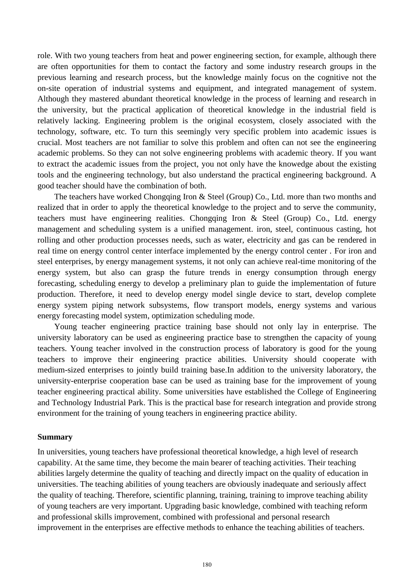role. With two young teachers from heat and power engineering section, for example, although there are often opportunities for them to contact the factory and some industry research groups in the previous learning and research process, but the knowledge mainly focus on the cognitive not the on-site operation of industrial systems and equipment, and integrated management of system. Although they mastered abundant theoretical knowledge in the process of learning and research in the university, but the practical application of theoretical knowledge in the industrial field is relatively lacking. Engineering problem is the original ecosystem, closely associated with the technology, software, etc. To turn this seemingly very specific problem into academic issues is crucial. Most teachers are not familiar to solve this problem and often can not see the engineering academic problems. So they can not solve engineering problems with academic theory. If you want to extract the academic issues from the project, you not only have the knowedge about the existing tools and the engineering technology, but also understand the practical engineering background. A good teacher should have the combination of both.

The teachers have worked Chongqing Iron & Steel (Group) Co., Ltd. more than two months and realized that in order to apply the theoretical knowledge to the project and to serve the community, teachers must have engineering realities. Chongqing Iron & Steel (Group) Co., Ltd. energy management and scheduling system is a unified management. iron, steel, continuous casting, hot rolling and other production processes needs, such as water, electricity and gas can be rendered in real time on energy control center interface implemented by the energy control center . For iron and steel enterprises, by energy management systems, it not only can achieve real-time monitoring of the energy system, but also can grasp the future trends in energy consumption through energy forecasting, scheduling energy to develop a preliminary plan to guide the implementation of future production. Therefore, it need to develop energy model single device to start, develop complete energy system piping network subsystems, flow transport models, energy systems and various energy forecasting model system, optimization scheduling mode.

Young teacher engineering practice training base should not only lay in enterprise. The university laboratory can be used as engineering practice base to strengthen the capacity of young teachers. Young teacher involved in the construction process of laboratory is good for the young teachers to improve their engineering practice abilities. University should cooperate with medium-sized enterprises to jointly build training base.In addition to the university laboratory, the university-enterprise cooperation base can be used as training base for the improvement of young teacher engineering practical ability. Some universities have established the College of Engineering and Technology Industrial Park. This is the practical base for research integration and provide strong environment for the training of young teachers in engineering practice ability.

#### **Summary**

In universities, young teachers have professional theoretical knowledge, a high level of research capability. At the same time, they become the main bearer of teaching activities. Their teaching abilities largely determine the quality of teaching and directly impact on the quality of education in universities. The teaching abilities of young teachers are obviously inadequate and seriously affect the quality of teaching. Therefore, scientific planning, training, training to improve teaching ability of young teachers are very important. Upgrading basic knowledge, combined with teaching reform and professional skills improvement, combined with professional and personal research improvement in the enterprises are effective methods to enhance the teaching abilities of teachers.